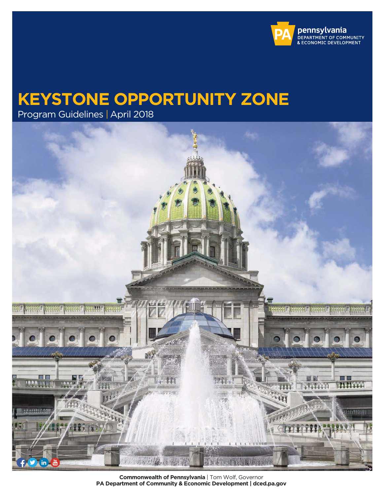

# **KEYSTONE OPPORTUNITY ZONE**

Program Guidelines | April 2018



 **Commonwealth of Pennsylvania** | Tom Wolf, Governor  **PA Department of Community & Economic Development | dced.pa.gov**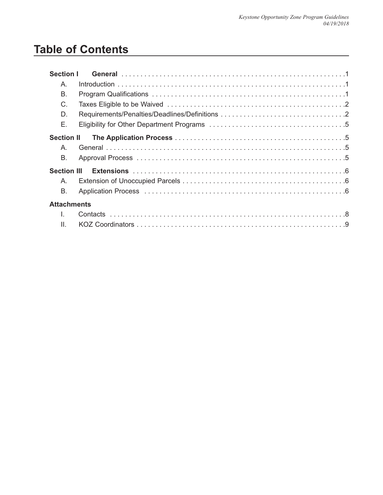## **Table of Contents**

| <b>Section I</b>   |  |
|--------------------|--|
| Α.                 |  |
| В.                 |  |
| C.                 |  |
| D.                 |  |
| Е.                 |  |
| <b>Section II</b>  |  |
| Α.                 |  |
| В.                 |  |
| <b>Section III</b> |  |
| A.                 |  |
| В.                 |  |
| <b>Attachments</b> |  |
|                    |  |
| $\mathbf{H}$       |  |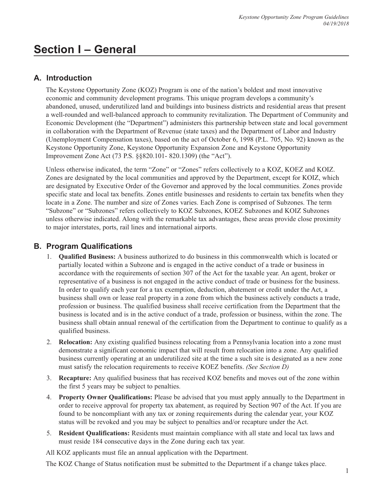## **Section I – General**

### **A. Introduction**

The Keystone Opportunity Zone (KOZ) Program is one of the nation's boldest and most innovative economic and community development programs. This unique program develops a community's abandoned, unused, underutilized land and buildings into business districts and residential areas that present a well-rounded and well-balanced approach to community revitalization. The Department of Community and Economic Development (the "Department") administers this partnership between state and local government in collaboration with the Department of Revenue (state taxes) and the Department of Labor and Industry (Unemployment Compensation taxes), based on the act of October 6, 1998 (P.L. 705, No. 92) known as the Keystone Opportunity Zone, Keystone Opportunity Expansion Zone and Keystone Opportunity Improvement Zone Act (73 P.S. §§820.101- 820.1309) (the "Act").

Unless otherwise indicated, the term "Zone" or "Zones" refers collectively to a KOZ, KOEZ and KOIZ. Zones are designated by the local communities and approved by the Department, except for KOIZ, which are designated by Executive Order of the Governor and approved by the local communities. Zones provide specific state and local tax benefits. Zones entitle businesses and residents to certain tax benefits when they locate in a Zone. The number and size of Zones varies. Each Zone is comprised of Subzones. The term "Subzone" or "Subzones" refers collectively to KOZ Subzones, KOEZ Subzones and KOIZ Subzones unless otherwise indicated. Along with the remarkable tax advantages, these areas provide close proximity to major interstates, ports, rail lines and international airports.

### **B. Program Qualifications**

- 1. **Qualified Business:** A business authorized to do business in this commonwealth which is located or partially located within a Subzone and is engaged in the active conduct of a trade or business in accordance with the requirements of section 307 of the Act for the taxable year. An agent, broker or representative of a business is not engaged in the active conduct of trade or business for the business. In order to qualify each year for a tax exemption, deduction, abatement or credit under the Act, a business shall own or lease real property in a zone from which the business actively conducts a trade, profession or business. The qualified business shall receive certification from the Department that the business is located and is in the active conduct of a trade, profession or business, within the zone. The business shall obtain annual renewal of the certification from the Department to continue to qualify as a qualified business.
- 2. **Relocation:** Any existing qualified business relocating from a Pennsylvania location into a zone must demonstrate a significant economic impact that will result from relocation into a zone. Any qualified business currently operating at an underutilized site at the time a such site is designated as a new zone must satisfy the relocation requirements to receive KOEZ benefits. *(See Section D)*
- 3. **Recapture:** Any qualified business that has received KOZ benefits and moves out of the zone within the first 5 years may be subject to penalties.
- 4. **Property Owner Qualifications:** Please be advised that you must apply annually to the Department in order to receive approval for property tax abatement, as required by Section 907 of the Act. If you are found to be noncompliant with any tax or zoning requirements during the calendar year, your KOZ status will be revoked and you may be subject to penalties and/or recapture under the Act.
- 5. **Resident Qualifications:** Residents must maintain compliance with all state and local tax laws and must reside 184 consecutive days in the Zone during each tax year.

All KOZ applicants must file an annual application with the Department.

The KOZ Change of Status notification must be submitted to the Department if a change takes place.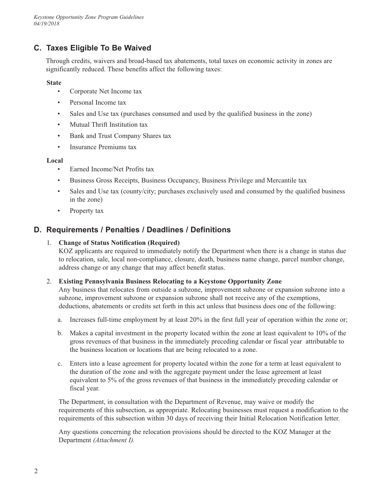## **C. Taxes Eligible To Be Waived**

Through credits, waivers and broad-based tax abatements, total taxes on economic activity in zones are significantly reduced. These benefits affect the following taxes:

#### **State**

- Corporate Net Income tax
- Personal Income tax
- Sales and Use tax (purchases consumed and used by the qualified business in the zone)
- Mutual Thrift Institution tax
- Bank and Trust Company Shares tax
- Insurance Premiums tax

#### **Local**

- $\bullet$ • Earned Income/Net Profits tax
- $\bullet$ • Business Gross Receipts, Business Occupancy, Business Privilege and Mercantile tax
- $\bullet$  . Sales and Use tax (county/city; purchases exclusively used and consumed by the qualified business in the zone)
- Property tax

### **D. Requirements / Penalties / Deadlines / Definitions**

#### 1. **Change of Status Notification (Required)**

KOZ applicants are required to immediately notify the Department when there is a change in status due to relocation, sale, local non-compliance, closure, death, business name change, parcel number change, address change or any change that may affect benefit status.

#### 2. **Existing Pennsylvania Business Relocating to a Keystone Opportunity Zone**

Any business that relocates from outside a subzone, improvement subzone or expansion subzone into a subzone, improvement subzone or expansion subzone shall not receive any of the exemptions, deductions, abatements or credits set forth in this act unless that business does one of the following:

- a. Increases full-time employment by at least 20% in the first full year of operation within the zone or;
- b. Makes a capital investment in the property located within the zone at least equivalent to 10% of the gross revenues of that business in the immediately preceding calendar or fiscal year attributable to the business location or locations that are being relocated to a zone.
- c. Enters into a lease agreement for property located within the zone for a term at least equivalent to the duration of the zone and with the aggregate payment under the lease agreement at least equivalent to 5% of the gross revenues of that business in the immediately preceding calendar or fiscal year.

 The Department, in consultation with the Department of Revenue, may waive or modify the requirements of this subsection, as appropriate. Relocating businesses must request a modification to the requirements of this subsection within 30 days of receiving their Initial Relocation Notification letter.

 Any questions concerning the relocation provisions should be directed to the KOZ Manager at the Department *(Attachment I).*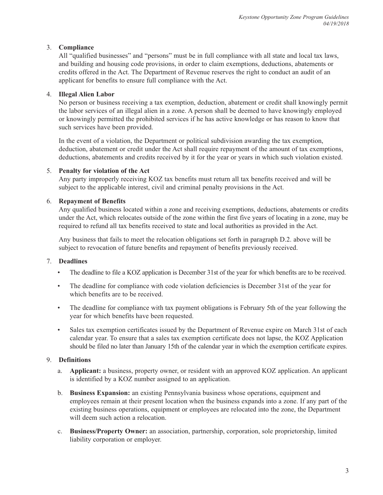#### 3. **Compliance**

All "qualified businesses" and "persons" must be in full compliance with all state and local tax laws, and building and housing code provisions, in order to claim exemptions, deductions, abatements or credits offered in the Act. The Department of Revenue reserves the right to conduct an audit of an applicant for benefits to ensure full compliance with the Act.

#### 4. **Illegal Alien Labor**

No person or business receiving a tax exemption, deduction, abatement or credit shall knowingly permit the labor services of an illegal alien in a zone. A person shall be deemed to have knowingly employed or knowingly permitted the prohibited services if he has active knowledge or has reason to know that such services have been provided.

 In the event of a violation, the Department or political subdivision awarding the tax exemption, deduction, abatement or credit under the Act shall require repayment of the amount of tax exemptions, deductions, abatements and credits received by it for the year or years in which such violation existed.

#### 5. **Penalty for violation of the Act**

Any party improperly receiving KOZ tax benefits must return all tax benefits received and will be subject to the applicable interest, civil and criminal penalty provisions in the Act.

#### 6. **Repayment of Benefits**

 Any qualified business located within a zone and receiving exemptions, deductions, abatements or credits under the Act, which relocates outside of the zone within the first five years of locating in a zone, may be required to refund all tax benefits received to state and local authorities as provided in the Act.

 Any business that fails to meet the relocation obligations set forth in paragraph D.2. above will be subject to revocation of future benefits and repayment of benefits previously received.

#### 7. **Deadlines**

- The deadline to file a KOZ application is December 31st of the year for which benefits are to be received.
- $\bullet$  . • The deadline for compliance with code violation deficiencies is December 31st of the year for which benefits are to be received.
- $\bullet$  . The deadline for compliance with tax payment obligations is February 5th of the year following the year for which benefits have been requested.
- $\bullet$  should be filed no later than January 15th of the calendar year in which the exemption certificate expires. Sales tax exemption certificates issued by the Department of Revenue expire on March 31st of each calendar year. To ensure that a sales tax exemption certificate does not lapse, the KOZ Application

#### 9. **Definitions**

- a. Applicant: a business, property owner, or resident with an approved KOZ application. An applicant is identified by a KOZ number assigned to an application.
- b. **Business Expansion:** an existing Pennsylvania business whose operations, equipment and employees remain at their present location when the business expands into a zone. If any part of the existing business operations, equipment or employees are relocated into the zone, the Department will deem such action a relocation.
- $c.$ **Business/Property Owner:** an association, partnership, corporation, sole proprietorship, limited liability corporation or employer.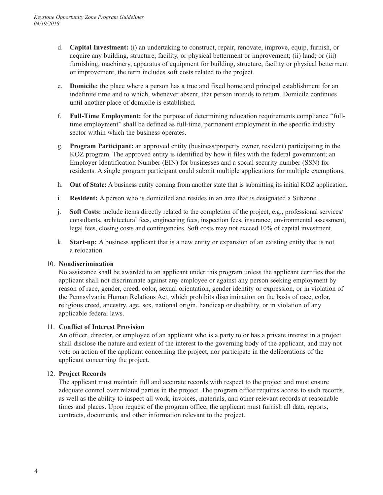- d. **Capital Investment:** (i) an undertaking to construct, repair, renovate, improve, equip, furnish, or acquire any building, structure, facility, or physical betterment or improvement; (ii) land; or (iii) furnishing, machinery, apparatus of equipment for building, structure, facility or physical betterment or improvement, the term includes soft costs related to the project.
- e. **Domicile:** the place where a person has a true and fixed home and principal establishment for an indefinite time and to which, whenever absent, that person intends to return. Domicile continues until another place of domicile is established.
- f. **Full-Time Employment:** for the purpose of determining relocation requirements compliance "fulltime employment" shall be defined as full-time, permanent employment in the specific industry sector within which the business operates.
- g. **Program Participant:** an approved entity (business/property owner, resident) participating in the KOZ program. The approved entity is identified by how it files with the federal government; an Employer Identification Number (EIN) for businesses and a social security number (SSN) for residents. A single program participant could submit multiple applications for multiple exemptions.
- h. **Out of State:** A business entity coming from another state that is submitting its initial KOZ application.
- $i$ . **Resident:** A person who is domiciled and resides in an area that is designated a Subzone.
- $\mathbf{i}$ . consultants, architectural fees, engineering fees, inspection fees, insurance, environmental assessment, legal fees, closing costs and contingencies. Soft costs may not exceed 10% of capital investment. **Soft Costs:** include items directly related to the completion of the project, e.g., professional services/
- k. **Start-up:** A business applicant that is a new entity or expansion of an existing entity that is not a relocation.

#### 10. **Nondiscrimination**

No assistance shall be awarded to an applicant under this program unless the applicant certifies that the applicant shall not discriminate against any employee or against any person seeking employment by reason of race, gender, creed, color, sexual orientation, gender identity or expression, or in violation of the Pennsylvania Human Relations Act, which prohibits discrimination on the basis of race, color, religious creed, ancestry, age, sex, national origin, handicap or disability, or in violation of any applicable federal laws.

#### 11. **Conflict of Interest Provision**

An officer, director, or employee of an applicant who is a party to or has a private interest in a project shall disclose the nature and extent of the interest to the governing body of the applicant, and may not vote on action of the applicant concerning the project, nor participate in the deliberations of the applicant concerning the project.

#### 12. **Project Records**

The applicant must maintain full and accurate records with respect to the project and must ensure adequate control over related parties in the project. The program office requires access to such records, as well as the ability to inspect all work, invoices, materials, and other relevant records at reasonable times and places. Upon request of the program office, the applicant must furnish all data, reports, contracts, documents, and other information relevant to the project.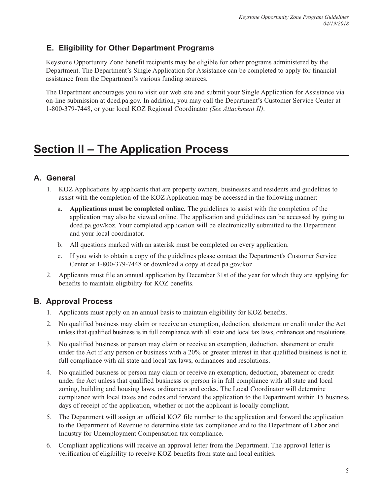## **E. Eligibility for Other Department Programs**

Keystone Opportunity Zone benefit recipients may be eligible for other programs administered by the Department. The Department's Single Application for Assistance can be completed to apply for financial assistance from the Department's various funding sources.

The Department encourages you to visit our web site and submit your Single Application for Assistance via on-line submission at dced.pa.gov. In addition, you may call the Department's Customer Service Center at 1-800-379-7448, or your local KOZ Regional Coordinator *(See Attachment II)*.

## **Section II – The Application Process**

## **A. General**

- 1. KOZ Applications by applicants that are property owners, businesses and residents and guidelines to assist with the completion of the KOZ Application may be accessed in the following manner:
	- a. **Applications must be completed online.** The guidelines to assist with the completion of the application may also be viewed online. The application and guidelines can be accessed by going to dced.pa.gov/koz. Your completed application will be electronically submitted to the Department and your local coordinator.
	- b. All questions marked with an asterisk must be completed on every application.
	- c. If you wish to obtain a copy of the guidelines please contact the Department's Customer Service Center at 1-800-379-7448 or download a copy at dced.pa.gov/koz
- 2. Applicants must file an annual application by December 31st of the year for which they are applying for benefits to maintain eligibility for KOZ benefits.

## **B. Approval Process**

- 1. Applicants must apply on an annual basis to maintain eligibility for KOZ benefits.
- 2. No qualified business may claim or receive an exemption, deduction, abatement or credit under the Act unless that qualified business is in full compliance with all state and local tax laws, ordinances and resolutions.
- 3. No qualified business or person may claim or receive an exemption, deduction, abatement or credit under the Act if any person or business with a 20% or greater interest in that qualified business is not in full compliance with all state and local tax laws, ordinances and resolutions.
- 4. No qualified business or person may claim or receive an exemption, deduction, abatement or credit under the Act unless that qualified businesss or person is in full compliance with all state and local zoning, building and housing laws, ordinances and codes. The Local Coordinator will determine compliance with local taxes and codes and forward the application to the Department within 15 business days of receipt of the application, whether or not the applicant is locally compliant.
- 5. The Department will assign an official KOZ file number to the application and forward the application to the Department of Revenue to determine state tax compliance and to the Department of Labor and Industry for Unemployment Compensation tax compliance.
- 6. Compliant applications will receive an approval letter from the Department. The approval letter is verification of eligibility to receive KOZ benefits from state and local entities.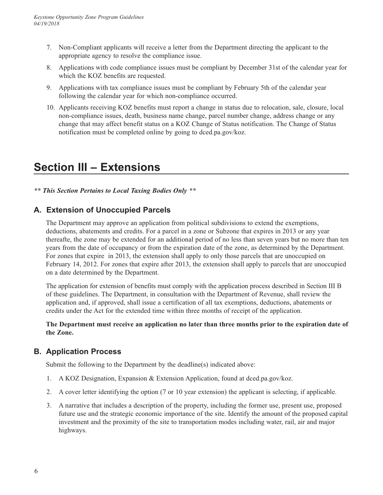- 7. Non-Compliant applicants will receive a letter from the Department directing the applicant to the appropriate agency to resolve the compliance issue.
- 8. Applications with code compliance issues must be compliant by December 31st of the calendar year for which the KOZ benefits are requested.
- 9. Applications with tax compliance issues must be compliant by February 5th of the calendar year following the calendar year for which non-compliance occurred.
- 10. Applicants receiving KOZ benefits must report a change in status due to relocation, sale, closure, local non-compliance issues, death, business name change, parcel number change, address change or any change that may affect benefit status on a KOZ Change of Status notification. The Change of Status notification must be completed online by going to dced.pa.gov/koz.

## **Section III – Extensions**

*\*\* This Section Pertains to Local Taxing Bodies Only \*\**

### **A. Extension of Unoccupied Parcels**

The Department may approve an application from political subdivisions to extend the exemptions, deductions, abatements and credits. For a parcel in a zone or Subzone that expires in 2013 or any year thereafte, the zone may be extended for an additional period of no less than seven years but no more than ten years from the date of occupancy or from the expiration date of the zone, as determined by the Department. For zones that expire in 2013, the extension shall apply to only those parcels that are unoccupied on February 14, 2012. For zones that expire after 2013, the extension shall apply to parcels that are unoccupied on a date determined by the Department.

 The application for extension of benefits must comply with the application process described in Section III B of these guidelines. The Department, in consultation with the Department of Revenue, shall review the application and, if approved, shall issue a certification of all tax exemptions, deductions, abatements or credits under the Act for the extended time within three months of receipt of the application.

#### **The Department must receive an application no later than three months prior to the expiration date of the Zone.**

### **B. Application Process**

Submit the following to the Department by the deadline(s) indicated above:

- 1. A KOZ Designation, Expansion & Extension Application, found at dced.pa.gov/koz.
- 2. A cover letter identifying the option (7 or 10 year extension) the applicant is selecting, if applicable.
- 3. A narrative that includes a description of the property, including the former use, present use, proposed future use and the strategic economic importance of the site. Identify the amount of the proposed capital investment and the proximity of the site to transportation modes including water, rail, air and major highways.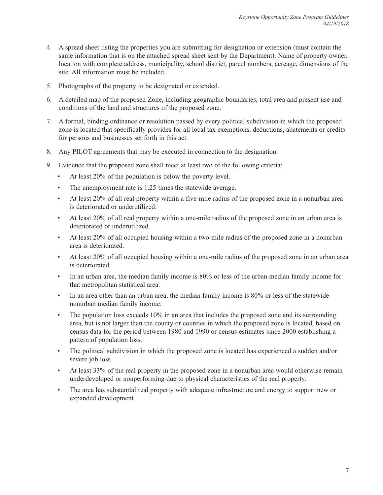- 4. A spread sheet listing the properties you are submitting for designation or extension (must contain the same information that is on the attached spread sheet sent by the Department). Name of property owner, location with complete address, municipality, school district, parcel numbers, acreage, dimensions of the site. All information must be included.
- 5. Photographs of the property to be designated or extended.
- 6. A detailed map of the proposed Zone, including geographic boundaries, total area and present use and conditions of the land and structures of the proposed zone.
- 7. A formal, binding ordinance or resolution passed by every political subdivision in which the proposed zone is located that specifically provides for all local tax exemptions, deductions, abatements or credits for persons and businesses set forth in this act.
- 8. Any PILOT agreements that may be executed in connection to the designation.
- 9. Evidence that the proposed zone shall meet at least two of the following criteria:
	- $\bullet$ At least 20% of the population is below the poverty level.
	- The unemployment rate is 1.25 times the statewide average.
	- $\bullet$ • At least 20% of all real property within a five-mile radius of the proposed zone in a nonurban area is deteriorated or underutilized.
	- $\bullet$  . • At least 20% of all real property within a one-mile radius of the proposed zone in an urban area is deteriorated or underutilized.
	- $\bullet$ • At least 20% of all occupied housing within a two-mile radius of the proposed zone in a nonurban area is deteriorated.
	- At least 20% of all occupied housing within a one-mile radius of the proposed zone in an urban area is deteriorated.
	- $\bullet$ • In an urban area, the median family income is 80% or less of the urban median family income for that metropolitan statistical area.
	- In an area other than an urban area, the median family income is 80% or less of the statewide nonurban median family income.
	- $\bullet$ • The population loss exceeds 10% in an area that includes the proposed zone and its surrounding area, but is not larger than the county or counties in which the proposed zone is located, based on census data for the period between 1980 and 1990 or census estimates since 2000 establishing a pattern of population loss.
	- $\bullet$ • The political subdivision in which the proposed zone is located has experienced a sudden and/or severe job loss.
	- $\bullet$  . • At least 33% of the real property in the proposed zone in a nonurban area would otherwise remain underdeveloped or nonperforming due to physical characteristics of the real property.
	- The area has substantial real property with adequate infrastructure and energy to support new or expanded development.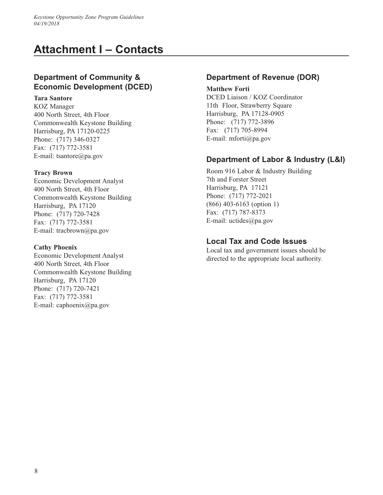## **Attachment I – Contacts**

## **Department of Community & Economic Development (DCED)**

#### **Tara Santore**

KOZ Manager 400 North Street, 4th Floor Commonwealth Keystone Building Harrisburg, PA 17120-0225 Phone: (717) 346-0327 Fax: (717) 772-3581 E-mail: tsantore@pa.gov

#### **Tracy Brown**

 Harrisburg, PA 17120 Economic Development Analyst 400 North Street, 4th Floor Commonwealth Keystone Building Phone: (717) 720-7428 Fax: (717) 772-3581 E-mail: tracbrown@pa.gov

#### **Cathy Phoenix**

 Harrisburg, PA 17120 Economic Development Analyst 400 North Street, 4th Floor Commonwealth Keystone Building Phone: (717) 720-7421 Fax: (717) 772-3581 E-mail: caphoenix@pa.gov

## **Department of Revenue (DOR)**

 Harrisburg, PA 17128-0905 Phone: (717) 772-3896 Fax: (717) 705-8994 **Matthew Forti** DCED Liaison / KOZ Coordinator 11th Floor, Strawberry Square E-mail: mforti@pa.gov

## **Department of Labor & Industry (L&I)**

 Harrisburg, PA 17121 Room 916 Labor & Industry Building 7th and Forster Street Phone: (717) 772-2021 (866) 403-6163 (option 1) Fax: (717) 787-8373 E-mail: uctides@pa.gov

### **Local Tax and Code Issues**

Local tax and government issues should be directed to the appropriate local authority.